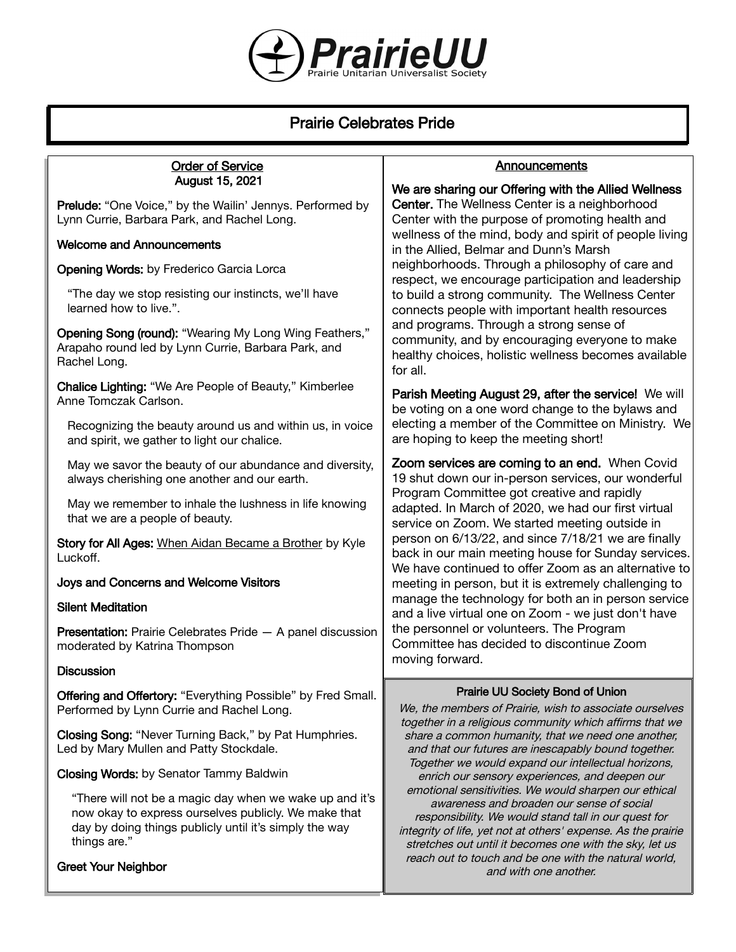

# Prairie Celebrates Pride

#### Order of Service August 15, 2021

Prelude: "One Voice," by the Wailin' Jennys. Performed by Lynn Currie, Barbara Park, and Rachel Long.

#### Welcome and Announcements

Opening Words: by Frederico Garcia Lorca

"The day we stop resisting our instincts, we'll have learned how to live.".

Opening Song (round): "Wearing My Long Wing Feathers," Arapaho round led by Lynn Currie, Barbara Park, and Rachel Long.

Chalice Lighting: "We Are People of Beauty," Kimberlee Anne Tomczak Carlson.

Recognizing the beauty around us and within us, in voice and spirit, we gather to light our chalice.

May we savor the beauty of our abundance and diversity, always cherishing one another and our earth.

May we remember to inhale the lushness in life knowing that we are a people of beauty.

Story for All Ages: When Aidan Became a Brother by Kyle Luckoff.

#### Joys and Concerns and Welcome Visitors

#### Silent Meditation

Presentation: Prairie Celebrates Pride — A panel discussion moderated by Katrina Thompson

#### **Discussion**

Offering and Offertory: "Everything Possible" by Fred Small. Performed by Lynn Currie and Rachel Long.

Closing Song: "Never Turning Back," by Pat Humphries. Led by Mary Mullen and Patty Stockdale.

Closing Words: by Senator Tammy Baldwin

"There will not be a magic day when we wake up and it's now okay to express ourselves publicly. We make that day by doing things publicly until it's simply the way things are."

#### Greet Your Neighbor

### **Announcements**

We are sharing our Offering with the Allied Wellness Center. The Wellness Center is a neighborhood Center with the purpose of promoting health and wellness of the mind, body and spirit of people living in the Allied, Belmar and Dunn's Marsh neighborhoods. Through a philosophy of care and respect, we encourage participation and leadership to build a strong community. The Wellness Center connects people with important health resources and programs. Through a strong sense of community, and by encouraging everyone to make healthy choices, holistic wellness becomes available for all.

Parish Meeting August 29, after the service! We will be voting on a one word change to the bylaws and electing a member of the Committee on Ministry. We are hoping to keep the meeting short!

Zoom services are coming to an end. When Covid 19 shut down our in-person services, our wonderful Program Committee got creative and rapidly adapted. In March of 2020, we had our first virtual service on Zoom. We started meeting outside in person on 6/13/22, and since 7/18/21 we are finally back in our main meeting house for Sunday services. We have continued to offer Zoom as an alternative to meeting in person, but it is extremely challenging to manage the technology for both an in person service and a live virtual one on Zoom - we just don't have the personnel or volunteers. The Program Committee has decided to discontinue Zoom moving forward.

## Prairie UU Society Bond of Union

We, the members of Prairie, wish to associate ourselves together in a religious community which affirms that we share a common humanity, that we need one another, and that our futures are inescapably bound together. Together we would expand our intellectual horizons, enrich our sensory experiences, and deepen our emotional sensitivities. We would sharpen our ethical awareness and broaden our sense of social responsibility. We would stand tall in our quest for integrity of life, yet not at others' expense. As the prairie stretches out until it becomes one with the sky, let us reach out to touch and be one with the natural world, and with one another.